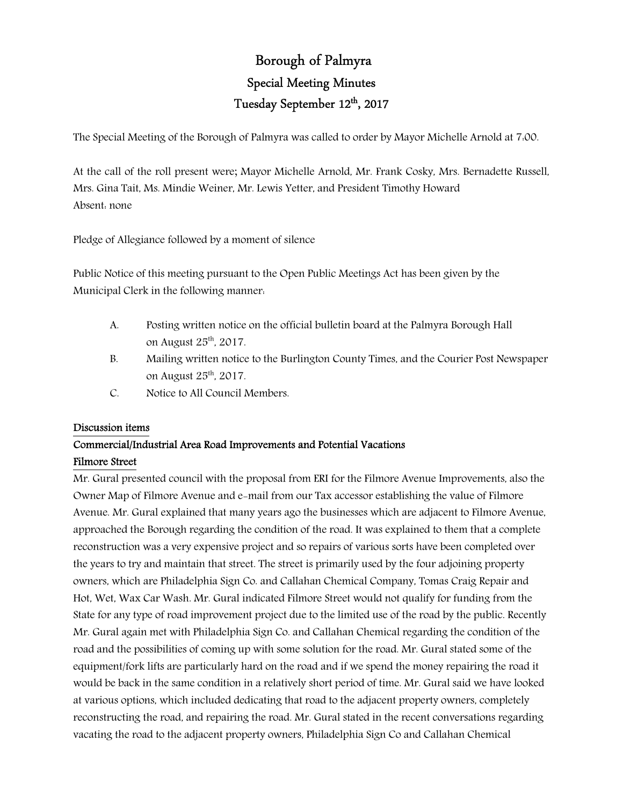# Borough of Palmyra Special Meeting Minutes Tuesday September 12<sup>th</sup>, 2017

The Special Meeting of the Borough of Palmyra was called to order by Mayor Michelle Arnold at 7:00.

At the call of the roll present were; Mayor Michelle Arnold, Mr. Frank Cosky, Mrs. Bernadette Russell, Mrs. Gina Tait, Ms. Mindie Weiner, Mr. Lewis Yetter, and President Timothy Howard Absent: none

Pledge of Allegiance followed by a moment of silence

Public Notice of this meeting pursuant to the Open Public Meetings Act has been given by the Municipal Clerk in the following manner:

- A. Posting written notice on the official bulletin board at the Palmyra Borough Hall on August 25th, 2017.
- B. Mailing written notice to the Burlington County Times, and the Courier Post Newspaper on August 25th, 2017.
- C. Notice to All Council Members.

# Discussion items

# Commercial/Industrial Area Road Improvements and Potential Vacations Filmore Street

Mr. Gural presented council with the proposal from ERI for the Filmore Avenue Improvements, also the Owner Map of Filmore Avenue and e-mail from our Tax accessor establishing the value of Filmore Avenue. Mr. Gural explained that many years ago the businesses which are adjacent to Filmore Avenue, approached the Borough regarding the condition of the road. It was explained to them that a complete reconstruction was a very expensive project and so repairs of various sorts have been completed over the years to try and maintain that street. The street is primarily used by the four adjoining property owners, which are Philadelphia Sign Co. and Callahan Chemical Company, Tomas Craig Repair and Hot, Wet, Wax Car Wash. Mr. Gural indicated Filmore Street would not qualify for funding from the State for any type of road improvement project due to the limited use of the road by the public. Recently Mr. Gural again met with Philadelphia Sign Co. and Callahan Chemical regarding the condition of the road and the possibilities of coming up with some solution for the road. Mr. Gural stated some of the equipment/fork lifts are particularly hard on the road and if we spend the money repairing the road it would be back in the same condition in a relatively short period of time. Mr. Gural said we have looked at various options, which included dedicating that road to the adjacent property owners, completely reconstructing the road, and repairing the road. Mr. Gural stated in the recent conversations regarding vacating the road to the adjacent property owners, Philadelphia Sign Co and Callahan Chemical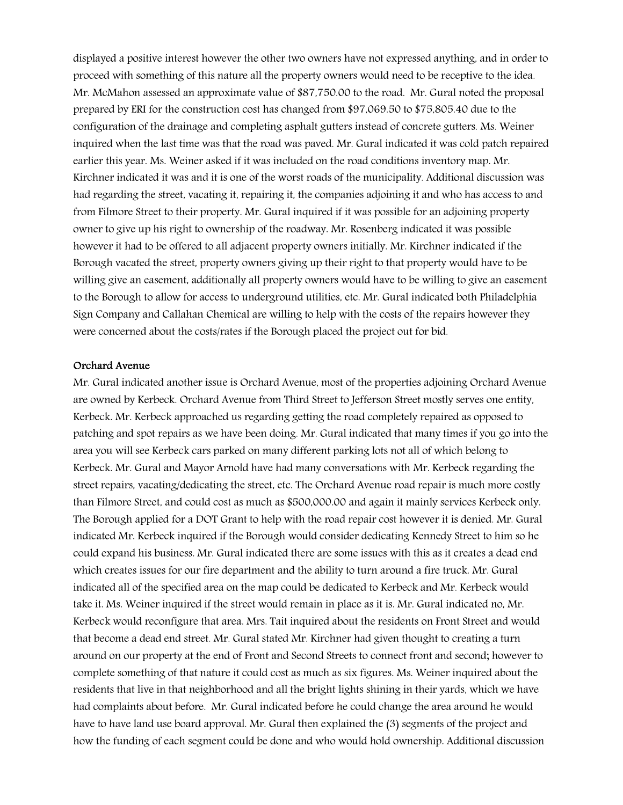displayed a positive interest however the other two owners have not expressed anything, and in order to proceed with something of this nature all the property owners would need to be receptive to the idea. Mr. McMahon assessed an approximate value of \$87,750.00 to the road. Mr. Gural noted the proposal prepared by ERI for the construction cost has changed from \$97,069.50 to \$75,805.40 due to the configuration of the drainage and completing asphalt gutters instead of concrete gutters. Ms. Weiner inquired when the last time was that the road was paved. Mr. Gural indicated it was cold patch repaired earlier this year. Ms. Weiner asked if it was included on the road conditions inventory map. Mr. Kirchner indicated it was and it is one of the worst roads of the municipality. Additional discussion was had regarding the street, vacating it, repairing it, the companies adjoining it and who has access to and from Filmore Street to their property. Mr. Gural inquired if it was possible for an adjoining property owner to give up his right to ownership of the roadway. Mr. Rosenberg indicated it was possible however it had to be offered to all adjacent property owners initially. Mr. Kirchner indicated if the Borough vacated the street, property owners giving up their right to that property would have to be willing give an easement, additionally all property owners would have to be willing to give an easement to the Borough to allow for access to underground utilities, etc. Mr. Gural indicated both Philadelphia Sign Company and Callahan Chemical are willing to help with the costs of the repairs however they were concerned about the costs/rates if the Borough placed the project out for bid.

#### Orchard Avenue

Mr. Gural indicated another issue is Orchard Avenue, most of the properties adjoining Orchard Avenue are owned by Kerbeck. Orchard Avenue from Third Street to Jefferson Street mostly serves one entity, Kerbeck. Mr. Kerbeck approached us regarding getting the road completely repaired as opposed to patching and spot repairs as we have been doing. Mr. Gural indicated that many times if you go into the area you will see Kerbeck cars parked on many different parking lots not all of which belong to Kerbeck. Mr. Gural and Mayor Arnold have had many conversations with Mr. Kerbeck regarding the street repairs, vacating/dedicating the street, etc. The Orchard Avenue road repair is much more costly than Filmore Street, and could cost as much as \$500,000.00 and again it mainly services Kerbeck only. The Borough applied for a DOT Grant to help with the road repair cost however it is denied. Mr. Gural indicated Mr. Kerbeck inquired if the Borough would consider dedicating Kennedy Street to him so he could expand his business. Mr. Gural indicated there are some issues with this as it creates a dead end which creates issues for our fire department and the ability to turn around a fire truck. Mr. Gural indicated all of the specified area on the map could be dedicated to Kerbeck and Mr. Kerbeck would take it. Ms. Weiner inquired if the street would remain in place as it is. Mr. Gural indicated no, Mr. Kerbeck would reconfigure that area. Mrs. Tait inquired about the residents on Front Street and would that become a dead end street. Mr. Gural stated Mr. Kirchner had given thought to creating a turn around on our property at the end of Front and Second Streets to connect front and second; however to complete something of that nature it could cost as much as six figures. Ms. Weiner inquired about the residents that live in that neighborhood and all the bright lights shining in their yards, which we have had complaints about before. Mr. Gural indicated before he could change the area around he would have to have land use board approval. Mr. Gural then explained the (3) segments of the project and how the funding of each segment could be done and who would hold ownership. Additional discussion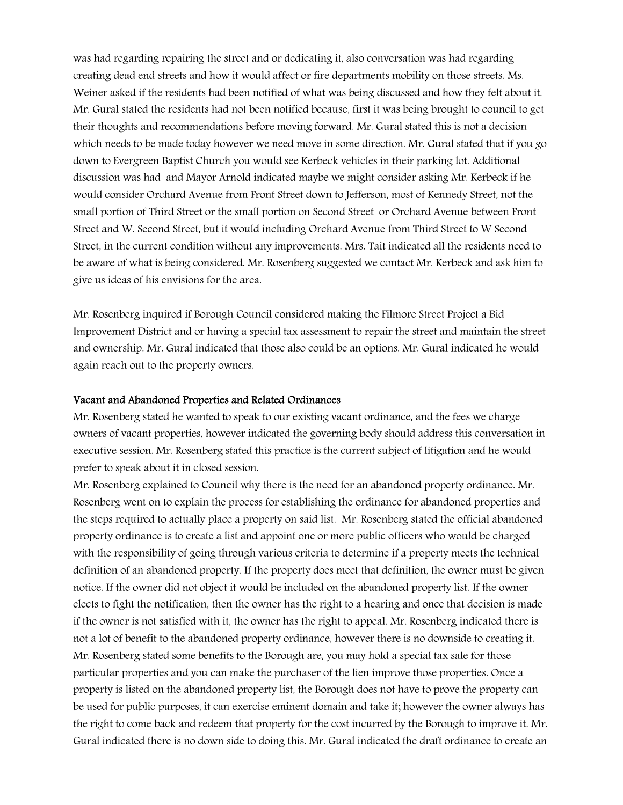was had regarding repairing the street and or dedicating it, also conversation was had regarding creating dead end streets and how it would affect or fire departments mobility on those streets. Ms. Weiner asked if the residents had been notified of what was being discussed and how they felt about it. Mr. Gural stated the residents had not been notified because, first it was being brought to council to get their thoughts and recommendations before moving forward. Mr. Gural stated this is not a decision which needs to be made today however we need move in some direction. Mr. Gural stated that if you go down to Evergreen Baptist Church you would see Kerbeck vehicles in their parking lot. Additional discussion was had and Mayor Arnold indicated maybe we might consider asking Mr. Kerbeck if he would consider Orchard Avenue from Front Street down to Jefferson, most of Kennedy Street, not the small portion of Third Street or the small portion on Second Street or Orchard Avenue between Front Street and W. Second Street, but it would including Orchard Avenue from Third Street to W Second Street, in the current condition without any improvements. Mrs. Tait indicated all the residents need to be aware of what is being considered. Mr. Rosenberg suggested we contact Mr. Kerbeck and ask him to give us ideas of his envisions for the area.

Mr. Rosenberg inquired if Borough Council considered making the Filmore Street Project a Bid Improvement District and or having a special tax assessment to repair the street and maintain the street and ownership. Mr. Gural indicated that those also could be an options. Mr. Gural indicated he would again reach out to the property owners.

#### Vacant and Abandoned Properties and Related Ordinances

Mr. Rosenberg stated he wanted to speak to our existing vacant ordinance, and the fees we charge owners of vacant properties, however indicated the governing body should address this conversation in executive session. Mr. Rosenberg stated this practice is the current subject of litigation and he would prefer to speak about it in closed session.

Mr. Rosenberg explained to Council why there is the need for an abandoned property ordinance. Mr. Rosenberg went on to explain the process for establishing the ordinance for abandoned properties and the steps required to actually place a property on said list. Mr. Rosenberg stated the official abandoned property ordinance is to create a list and appoint one or more public officers who would be charged with the responsibility of going through various criteria to determine if a property meets the technical definition of an abandoned property. If the property does meet that definition, the owner must be given notice. If the owner did not object it would be included on the abandoned property list. If the owner elects to fight the notification, then the owner has the right to a hearing and once that decision is made if the owner is not satisfied with it, the owner has the right to appeal. Mr. Rosenberg indicated there is not a lot of benefit to the abandoned property ordinance, however there is no downside to creating it. Mr. Rosenberg stated some benefits to the Borough are, you may hold a special tax sale for those particular properties and you can make the purchaser of the lien improve those properties. Once a property is listed on the abandoned property list, the Borough does not have to prove the property can be used for public purposes, it can exercise eminent domain and take it; however the owner always has the right to come back and redeem that property for the cost incurred by the Borough to improve it. Mr. Gural indicated there is no down side to doing this. Mr. Gural indicated the draft ordinance to create an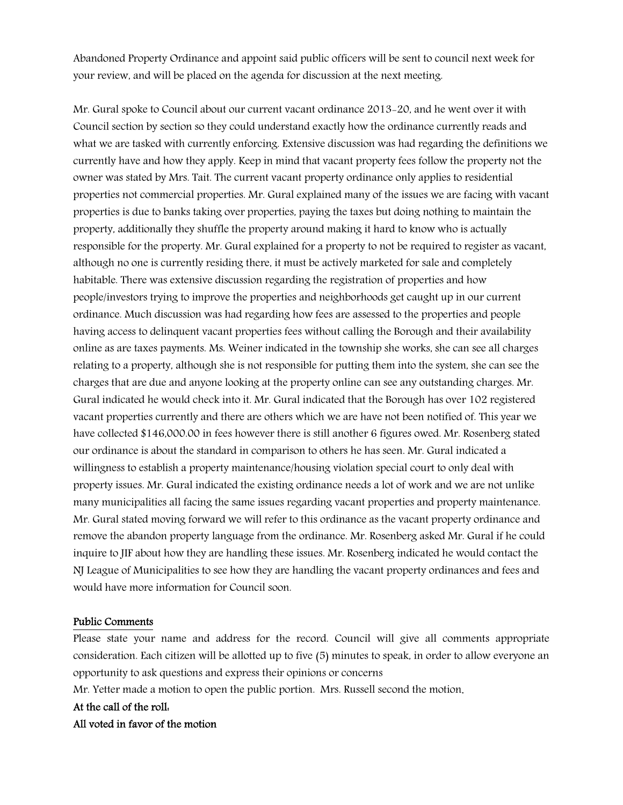Abandoned Property Ordinance and appoint said public officers will be sent to council next week for your review, and will be placed on the agenda for discussion at the next meeting.

Mr. Gural spoke to Council about our current vacant ordinance 2013-20, and he went over it with Council section by section so they could understand exactly how the ordinance currently reads and what we are tasked with currently enforcing. Extensive discussion was had regarding the definitions we currently have and how they apply. Keep in mind that vacant property fees follow the property not the owner was stated by Mrs. Tait. The current vacant property ordinance only applies to residential properties not commercial properties. Mr. Gural explained many of the issues we are facing with vacant properties is due to banks taking over properties, paying the taxes but doing nothing to maintain the property, additionally they shuffle the property around making it hard to know who is actually responsible for the property. Mr. Gural explained for a property to not be required to register as vacant, although no one is currently residing there, it must be actively marketed for sale and completely habitable. There was extensive discussion regarding the registration of properties and how people/investors trying to improve the properties and neighborhoods get caught up in our current ordinance. Much discussion was had regarding how fees are assessed to the properties and people having access to delinquent vacant properties fees without calling the Borough and their availability online as are taxes payments. Ms. Weiner indicated in the township she works, she can see all charges relating to a property, although she is not responsible for putting them into the system, she can see the charges that are due and anyone looking at the property online can see any outstanding charges. Mr. Gural indicated he would check into it. Mr. Gural indicated that the Borough has over 102 registered vacant properties currently and there are others which we are have not been notified of. This year we have collected \$146,000.00 in fees however there is still another 6 figures owed. Mr. Rosenberg stated our ordinance is about the standard in comparison to others he has seen. Mr. Gural indicated a willingness to establish a property maintenance/housing violation special court to only deal with property issues. Mr. Gural indicated the existing ordinance needs a lot of work and we are not unlike many municipalities all facing the same issues regarding vacant properties and property maintenance. Mr. Gural stated moving forward we will refer to this ordinance as the vacant property ordinance and remove the abandon property language from the ordinance. Mr. Rosenberg asked Mr. Gural if he could inquire to JIF about how they are handling these issues. Mr. Rosenberg indicated he would contact the NJ League of Municipalities to see how they are handling the vacant property ordinances and fees and would have more information for Council soon.

# Public Comments

Please state your name and address for the record. Council will give all comments appropriate consideration. Each citizen will be allotted up to five (5) minutes to speak, in order to allow everyone an opportunity to ask questions and express their opinions or concerns

Mr. Yetter made a motion to open the public portion. Mrs. Russell second the motion.

## At the call of the roll:

# All voted in favor of the motion